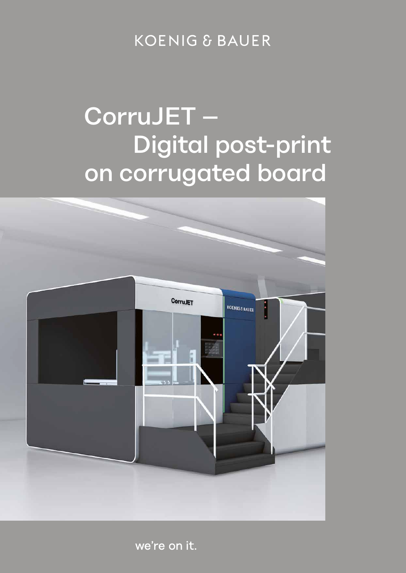**KOENIG & BAUER** 

## CorruJET – Digital post-print on corrugated board



we're on it.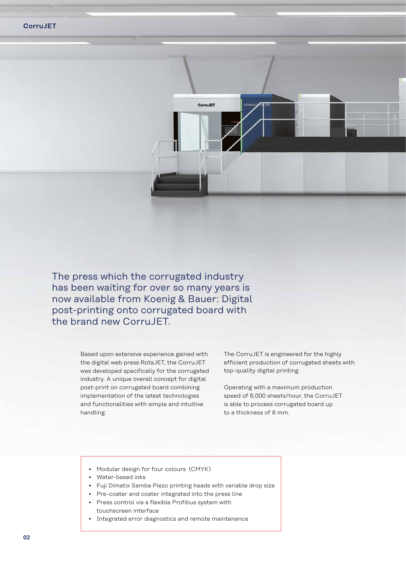

The press which the corrugated industry has been waiting for over so many years is now available from Koenig & Bauer: Digital post-printing onto corrugated board with the brand new Corru **JFT**.

> Based upon extensive experience gained with the digital web press RotaJET, the CorruJET was developed specifically for the corrugated industry. A unique overall concept for digital post-print on corrugated board combining implementation of the latest technologies and functionalities with simple and intuitive handling.

The CorruJET is engineered for the highly efficient production of corrugated sheets with top-quality digital printing.

Operating with a maximum production speed of 6,000 sheets/hour, the CorruJET is able to process corrugated board up to a thickness of 8 mm.

- Modular design for four colours (CMYK)
- Water-based inks
- Fuji Dimatix Samba Piezo printing heads with variable drop size
- Pre-coater and coater integrated into the press line
- Press control via a flexible Profibus system with touchscreen interface
- Integrated error diagnostics and remote maintenance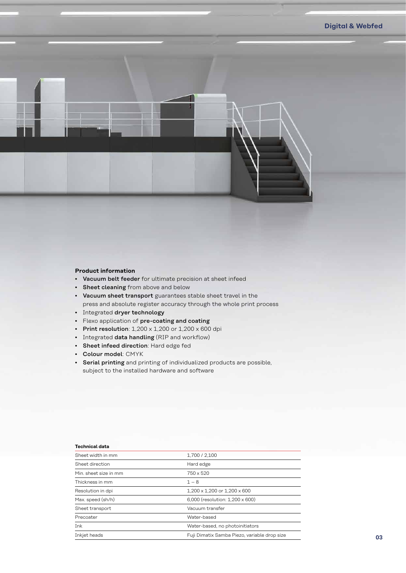## **Product information**

- Vacuum belt feeder for ultimate precision at sheet infeed
- Sheet cleaning from above and below
- Vacuum sheet transport guarantees stable sheet travel in the press and absolute register accuracy through the whole print process
- Integrated dryer technology
- Flexo application of pre-coating and coating
- Print resolution:  $1,200 \times 1,200$  or  $1,200 \times 600$  dpi
- Integrated data handling (RIP and workflow)
- Sheet infeed direction: Hard edge fed
- Colour model: CMYK
- Serial printing and printing of individualized products are possible, subject to the installed hardware and software

## **Technical data**

| Sheet width in mm     | 1.700 / 2.100                                |
|-----------------------|----------------------------------------------|
| Sheet direction       | Hard edge                                    |
| Min, sheet size in mm | 750 x 520                                    |
| Thickness in mm       | $1 - 8$                                      |
| Resolution in dpi     | $1.200 \times 1.200$ or $1.200 \times 600$   |
| Max. speed (sh/h)     | 6.000 (resolution: 1.200 x 600)              |
| Sheet transport       | Vacuum transfer                              |
| Precoater             | Water-based                                  |
| Ink                   | Water-based, no photoinitiators              |
| Inkjet heads          | Fuji Dimatix Samba Piezo, variable drop size |